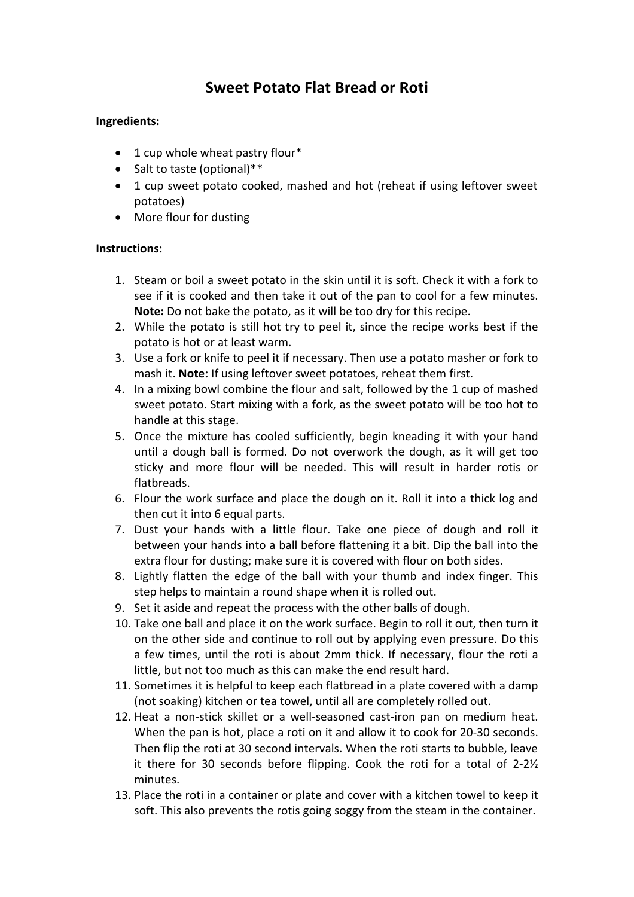## **Sweet Potato Flat Bread or Roti**

## **Ingredients:**

- 1 cup whole wheat pastry flour\*
- Salt to taste (optional)\*\*
- 1 cup sweet potato cooked, mashed and hot (reheat if using leftover sweet potatoes)
- More flour for dusting

## **Instructions:**

- 1. Steam or boil a sweet potato in the skin until it is soft. Check it with a fork to see if it is cooked and then take it out of the pan to cool for a few minutes. **Note:** Do not bake the potato, as it will be too dry for this recipe.
- 2. While the potato is still hot try to peel it, since the recipe works best if the potato is hot or at least warm.
- 3. Use a fork or knife to peel it if necessary. Then use a potato masher or fork to mash it. **Note:** If using leftover sweet potatoes, reheat them first.
- 4. In a mixing bowl combine the flour and salt, followed by the 1 cup of mashed sweet potato. Start mixing with a fork, as the sweet potato will be too hot to handle at this stage.
- 5. Once the mixture has cooled sufficiently, begin kneading it with your hand until a dough ball is formed. Do not overwork the dough, as it will get too sticky and more flour will be needed. This will result in harder rotis or flatbreads.
- 6. Flour the work surface and place the dough on it. Roll it into a thick log and then cut it into 6 equal parts.
- 7. Dust your hands with a little flour. Take one piece of dough and roll it between your hands into a ball before flattening it a bit. Dip the ball into the extra flour for dusting; make sure it is covered with flour on both sides.
- 8. Lightly flatten the edge of the ball with your thumb and index finger. This step helps to maintain a round shape when it is rolled out.
- 9. Set it aside and repeat the process with the other balls of dough.
- 10. Take one ball and place it on the work surface. Begin to roll it out, then turn it on the other side and continue to roll out by applying even pressure. Do this a few times, until the roti is about 2mm thick. If necessary, flour the roti a little, but not too much as this can make the end result hard.
- 11. Sometimes it is helpful to keep each flatbread in a plate covered with a damp (not soaking) kitchen or tea towel, until all are completely rolled out.
- 12. Heat a non-stick skillet or a well-seasoned cast-iron pan on medium heat. When the pan is hot, place a roti on it and allow it to cook for 20-30 seconds. Then flip the roti at 30 second intervals. When the roti starts to bubble, leave it there for 30 seconds before flipping. Cook the roti for a total of 2-2½ minutes.
- 13. Place the roti in a container or plate and cover with a kitchen towel to keep it soft. This also prevents the rotis going soggy from the steam in the container.